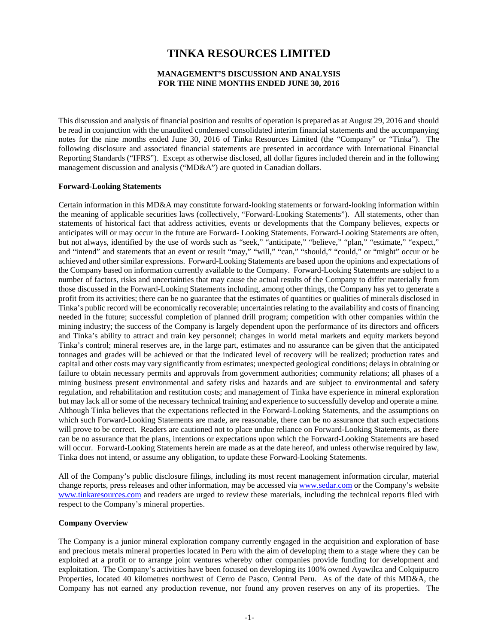# **TINKA RESOURCES LIMITED**

# **MANAGEMENT'S DISCUSSION AND ANALYSIS FOR THE NINE MONTHS ENDED JUNE 30, 2016**

This discussion and analysis of financial position and results of operation is prepared as at August 29, 2016 and should be read in conjunction with the unaudited condensed consolidated interim financial statements and the accompanying notes for the nine months ended June 30, 2016 of Tinka Resources Limited (the "Company" or "Tinka"). The following disclosure and associated financial statements are presented in accordance with International Financial Reporting Standards ("IFRS"). Except as otherwise disclosed, all dollar figures included therein and in the following management discussion and analysis ("MD&A") are quoted in Canadian dollars.

## **Forward-Looking Statements**

Certain information in this MD&A may constitute forward-looking statements or forward-looking information within the meaning of applicable securities laws (collectively, "Forward-Looking Statements"). All statements, other than statements of historical fact that address activities, events or developments that the Company believes, expects or anticipates will or may occur in the future are Forward- Looking Statements. Forward-Looking Statements are often, but not always, identified by the use of words such as "seek," "anticipate," "believe," "plan," "estimate," "expect," and "intend" and statements that an event or result "may," "will," "can," "should," "could," or "might" occur or be achieved and other similar expressions. Forward-Looking Statements are based upon the opinions and expectations of the Company based on information currently available to the Company. Forward-Looking Statements are subject to a number of factors, risks and uncertainties that may cause the actual results of the Company to differ materially from those discussed in the Forward-Looking Statements including, among other things, the Company has yet to generate a profit from its activities; there can be no guarantee that the estimates of quantities or qualities of minerals disclosed in Tinka's public record will be economically recoverable; uncertainties relating to the availability and costs of financing needed in the future; successful completion of planned drill program; competition with other companies within the mining industry; the success of the Company is largely dependent upon the performance of its directors and officers and Tinka's ability to attract and train key personnel; changes in world metal markets and equity markets beyond Tinka's control; mineral reserves are, in the large part, estimates and no assurance can be given that the anticipated tonnages and grades will be achieved or that the indicated level of recovery will be realized; production rates and capital and other costs may vary significantly from estimates; unexpected geological conditions; delays in obtaining or failure to obtain necessary permits and approvals from government authorities; community relations; all phases of a mining business present environmental and safety risks and hazards and are subject to environmental and safety regulation, and rehabilitation and restitution costs; and management of Tinka have experience in mineral exploration but may lack all or some of the necessary technical training and experience to successfully develop and operate a mine. Although Tinka believes that the expectations reflected in the Forward-Looking Statements, and the assumptions on which such Forward-Looking Statements are made, are reasonable, there can be no assurance that such expectations will prove to be correct. Readers are cautioned not to place undue reliance on Forward-Looking Statements, as there can be no assurance that the plans, intentions or expectations upon which the Forward-Looking Statements are based will occur. Forward-Looking Statements herein are made as at the date hereof, and unless otherwise required by law, Tinka does not intend, or assume any obligation, to update these Forward-Looking Statements.

All of the Company's public disclosure filings, including its most recent management information circular, material change reports, press releases and other information, may be accessed via [www.sedar.com](http://www.sedar.com/) or the Company's website [www.tinkaresources.com](http://www.tinkaresources.com/) and readers are urged to review these materials, including the technical reports filed with respect to the Company's mineral properties.

## **Company Overview**

The Company is a junior mineral exploration company currently engaged in the acquisition and exploration of base and precious metals mineral properties located in Peru with the aim of developing them to a stage where they can be exploited at a profit or to arrange joint ventures whereby other companies provide funding for development and exploitation. The Company's activities have been focused on developing its 100% owned Ayawilca and Colquipucro Properties, located 40 kilometres northwest of Cerro de Pasco, Central Peru. As of the date of this MD&A, the Company has not earned any production revenue, nor found any proven reserves on any of its properties. The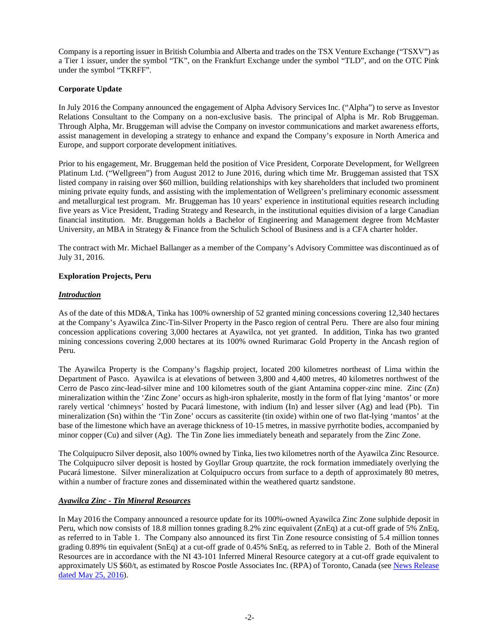Company is a reporting issuer in British Columbia and Alberta and trades on the TSX Venture Exchange ("TSXV") as a Tier 1 issuer, under the symbol "TK", on the Frankfurt Exchange under the symbol "TLD", and on the OTC Pink under the symbol "TKRFF".

# **Corporate Update**

In July 2016 the Company announced the engagement of Alpha Advisory Services Inc. ("Alpha") to serve as Investor Relations Consultant to the Company on a non-exclusive basis. The principal of Alpha is Mr. Rob Bruggeman. Through Alpha, Mr. Bruggeman will advise the Company on investor communications and market awareness efforts, assist management in developing a strategy to enhance and expand the Company's exposure in North America and Europe, and support corporate development initiatives.

Prior to his engagement, Mr. Bruggeman held the position of Vice President, Corporate Development, for Wellgreen Platinum Ltd. ("Wellgreen") from August 2012 to June 2016, during which time Mr. Bruggeman assisted that TSX listed company in raising over \$60 million, building relationships with key shareholders that included two prominent mining private equity funds, and assisting with the implementation of Wellgreen's preliminary economic assessment and metallurgical test program. Mr. Bruggeman has 10 years' experience in institutional equities research including five years as Vice President, Trading Strategy and Research, in the institutional equities division of a large Canadian financial institution. Mr. Bruggeman holds a Bachelor of Engineering and Management degree from McMaster University, an MBA in Strategy & Finance from the Schulich School of Business and is a CFA charter holder.

The contract with Mr. Michael Ballanger as a member of the Company's Advisory Committee was discontinued as of July 31, 2016.

## **Exploration Projects, Peru**

## *Introduction*

As of the date of this MD&A, Tinka has 100% ownership of 52 granted mining concessions covering 12,340 hectares at the Company's Ayawilca Zinc-Tin-Silver Property in the Pasco region of central Peru. There are also four mining concession applications covering 3,000 hectares at Ayawilca, not yet granted. In addition, Tinka has two granted mining concessions covering 2,000 hectares at its 100% owned Rurimarac Gold Property in the Ancash region of Peru.

The Ayawilca Property is the Company's flagship project, located 200 kilometres northeast of Lima within the Department of Pasco. Ayawilca is at elevations of between 3,800 and 4,400 metres, 40 kilometres northwest of the Cerro de Pasco zinc-lead-silver mine and 100 kilometres south of the giant Antamina copper-zinc mine. Zinc (Zn) mineralization within the 'Zinc Zone' occurs as high-iron sphalerite, mostly in the form of flat lying 'mantos' or more rarely vertical 'chimneys' hosted by Pucará limestone, with indium (In) and lesser silver (Ag) and lead (Pb). Tin mineralization (Sn) within the 'Tin Zone' occurs as cassiterite (tin oxide) within one of two flat-lying 'mantos' at the base of the limestone which have an average thickness of 10-15 metres, in massive pyrrhotite bodies, accompanied by minor copper (Cu) and silver (Ag). The Tin Zone lies immediately beneath and separately from the Zinc Zone.

The Colquipucro Silver deposit, also 100% owned by Tinka, lies two kilometres north of the Ayawilca Zinc Resource. The Colquipucro silver deposit is hosted by Goyllar Group quartzite, the rock formation immediately overlying the Pucará limestone. Silver mineralization at Colquipucro occurs from surface to a depth of approximately 80 metres, within a number of fracture zones and disseminated within the weathered quartz sandstone.

# *Ayawilca Zinc - Tin Mineral Resources*

In May 2016 the Company announced a resource update for its 100%-owned Ayawilca Zinc Zone sulphide deposit in Peru, which now consists of 18.8 million tonnes grading 8.2% zinc equivalent (ZnEq) at a cut-off grade of 5% ZnEq, as referred to in Table 1. The Company also announced its first Tin Zone resource consisting of 5.4 million tonnes grading 0.89% tin equivalent (SnEq) at a cut-off grade of 0.45% SnEq, as referred to in Table 2. Both of the Mineral Resources are in accordance with the NI 43-101 Inferred Mineral Resource category at a cut-off grade equivalent to approximately US \$60/t, as estimated by Roscoe Postle Associates Inc. (RPA) of Toronto, Canada (see [News Release](https://www.tinkaresources.com/news/tinka-increases-inferred-mineral-resources-at-ayawilca-zinc-resource-now-18-8-million-tonnes-at-8-2-zinc-eq-initial-tin-resource-5-4-million-tonnes-at-0-89-tin-eq)  [dated May 25, 2016\)](https://www.tinkaresources.com/news/tinka-increases-inferred-mineral-resources-at-ayawilca-zinc-resource-now-18-8-million-tonnes-at-8-2-zinc-eq-initial-tin-resource-5-4-million-tonnes-at-0-89-tin-eq).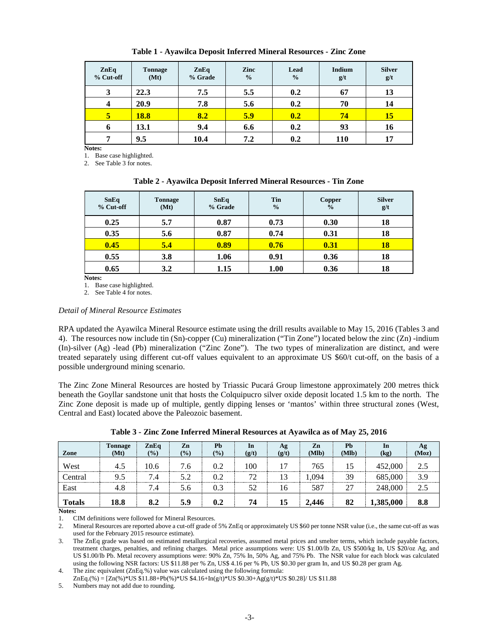| ZnEq<br>% Cut-off | <b>Tonnage</b><br>(Mt) | ZnEq<br>% Grade | Zinc<br>$\frac{0}{0}$ | Lead<br>$\frac{0}{0}$ | <b>Indium</b><br>g/t | <b>Silver</b><br>g/t |
|-------------------|------------------------|-----------------|-----------------------|-----------------------|----------------------|----------------------|
| 3                 | 22.3                   | 7.5             | 5.5                   | 0.2                   | 67                   | 13                   |
|                   | 20.9                   | 7.8             | 5.6                   | 0.2                   | 70                   | 14                   |
| 5                 | <b>18.8</b>            | 8.2             | 5.9                   | 0.2                   | 74                   | 15                   |
| 6                 | 13.1                   | 9.4             | 6.6                   | 0.2                   | 93                   | 16                   |
|                   | 9.5                    | 10.4            | 7.2                   | 0.2                   | 110                  | 17                   |

**Table 1 - Ayawilca Deposit Inferred Mineral Resources - Zinc Zone**

**Notes:**

1. Base case highlighted.

2. See Table 3 for notes.

| Table 2 - Ayawilca Deposit Inferred Mineral Resources - Tin Zone |  |  |  |  |  |  |
|------------------------------------------------------------------|--|--|--|--|--|--|
|------------------------------------------------------------------|--|--|--|--|--|--|

| <b>SnEq</b><br>% Cut-off | <b>Tonnage</b><br>(Mt) | SnEq<br>% Grade | Tin<br>$\frac{0}{0}$ | Copper<br>$\frac{0}{0}$ | <b>Silver</b><br>g/t |
|--------------------------|------------------------|-----------------|----------------------|-------------------------|----------------------|
| 0.25                     | 5.7                    | 0.87            | 0.73                 | 0.30                    | 18                   |
| 0.35                     | 5.6                    | 0.87            | 0.74                 | 0.31                    | 18                   |
| 0.45                     | 5.4                    | 0.89            | 0.76                 | 0.31                    | 18                   |
| 0.55                     | 3.8                    | 1.06            | 0.91                 | 0.36                    | 18                   |
| 0.65                     | 3.2                    | 1.15            | 1.00                 | 0.36                    | 18                   |

**Notes:**

1. Base case highlighted.

2. See Table 4 for notes.

## *Detail of Mineral Resource Estimates*

RPA updated the Ayawilca Mineral Resource estimate using the drill results available to May 15, 2016 (Tables 3 and 4). The resources now include tin (Sn)-copper (Cu) mineralization ("Tin Zone") located below the zinc (Zn) -indium (In)-silver (Ag) -lead (Pb) mineralization ("Zinc Zone"). The two types of mineralization are distinct, and were treated separately using different cut-off values equivalent to an approximate US \$60/t cut-off, on the basis of a possible underground mining scenario.

The Zinc Zone Mineral Resources are hosted by Triassic Pucará Group limestone approximately 200 metres thick beneath the Goyllar sandstone unit that hosts the Colquipucro silver oxide deposit located 1.5 km to the north. The Zinc Zone deposit is made up of multiple, gently dipping lenses or 'mantos' within three structural zones (West, Central and East) located above the Paleozoic basement.

| Zone                | <b>Tonnage</b><br>(Mt) | ZnEq<br>$($ %) | Zn<br>$(\%)$ | Pb<br>(%) | <b>In</b><br>(g/t) | Ag<br>(g/t) | Zn<br>(Mlb) | <b>Ph</b><br>(Mlb) | In<br>(kg) | Ag<br>(Moz) |
|---------------------|------------------------|----------------|--------------|-----------|--------------------|-------------|-------------|--------------------|------------|-------------|
| West                | 4.5                    | 10.6           | 7.6          | 0.2       | 100                | 17          | 765         | 15                 | 452,000    | 2.5         |
| Central             | 9.5                    | 7.4            | 5.2          | 0.2       | 72                 | 13          | .094        | 39                 | 685,000    | 3.9         |
| East                | 4.8                    | 7.4            | 5.6          | 0.3       | 52                 | 16          | 587         | 27                 | 248,000    | 2.5         |
| <b>Totals</b><br>-- | 18.8                   | 8.2            | 5.9          | 0.2       | 74                 | 15          | 2.446       | 82                 | 1,385,000  | 8.8         |

**Table 3 - Zinc Zone Inferred Mineral Resources at Ayawilca as of May 25, 2016**

**Notes:**

1. CIM definitions were followed for Mineral Resources.

2. Mineral Resources are reported above a cut-off grade of 5% ZnEq or approximately US \$60 per tonne NSR value (i.e., the same cut-off as was used for the February 2015 resource estimate).

3. The ZnEq grade was based on estimated metallurgical recoveries, assumed metal prices and smelter terms, which include payable factors, treatment charges, penalties, and refining charges. Metal price assumptions were: US \$1.00/lb Zn, US \$500/kg In, US \$20/oz Ag, and US \$1.00/lb Pb. Metal recovery assumptions were: 90% Zn, 75% In, 50% Ag, and 75% Pb. The NSR value for each block was calculated using the following NSR factors: US \$11.88 per % Zn, US\$ 4.16 per % Pb, US \$0.30 per gram In, and US \$0.28 per gram Ag.

4. The zinc equivalent (ZnEq.%) value was calculated using the following formula:

ZnEq.(%) =  $[Zn(\%)^*US \$11.88+Pb(\%)^*US \$4.16+In(g/t)*US \$0.30+Ag(g/t)*US \$0.28]/US \$11.88$ 

5. Numbers may not add due to rounding.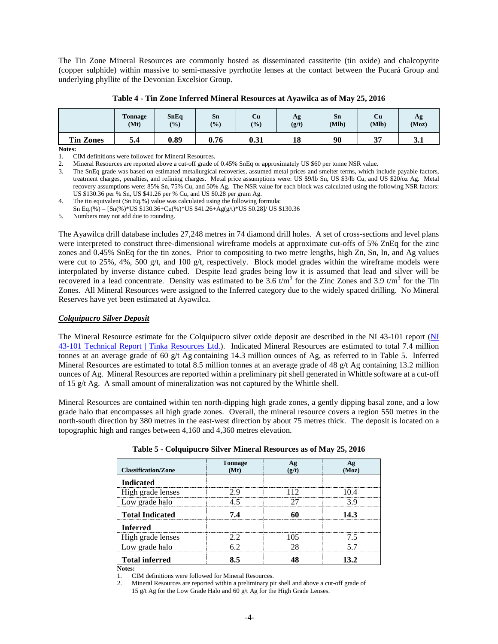The Tin Zone Mineral Resources are commonly hosted as disseminated cassiterite (tin oxide) and chalcopyrite (copper sulphide) within massive to semi-massive pyrrhotite lenses at the contact between the Pucará Group and underlying phyllite of the Devonian Excelsior Group.

|                  | <b>Tonnage</b> | <b>SnEq</b> | Sn    | Сu    | Ag    | Sn    | Сu        | Ag       |
|------------------|----------------|-------------|-------|-------|-------|-------|-----------|----------|
|                  | (Mt)           | (9/0)       | (9/0) | (9/0) | (g/t) | (Mlb) | (Mlb)     | (Moz)    |
| <b>Tin Zones</b> | 5.4            | 0.89        | 0.76  | 0.31  | 18    | 90    | O.E<br>ັ້ | Δ<br>J.L |

**Table 4 - Tin Zone Inferred Mineral Resources at Ayawilca as of May 25, 2016**

**Notes:**

1. CIM definitions were followed for Mineral Resources.

2. Mineral Resources are reported above a cut-off grade of 0.45% SnEq or approximately US \$60 per tonne NSR value.

3. The SnEq grade was based on estimated metallurgical recoveries, assumed metal prices and smelter terms, which include payable factors, treatment charges, penalties, and refining charges. Metal price assumptions were: US \$9/lb Sn, US \$3/lb Cu, and US \$20/oz Ag. Metal recovery assumptions were: 85% Sn, 75% Cu, and 50% Ag. The NSR value for each block was calculated using the following NSR factors: US \$130.36 per % Sn, US \$41.26 per % Cu, and US \$0.28 per gram Ag.

The tin equivalent (Sn Eq.%) value was calculated using the following formula:

Sn Eq.(%) = [Sn(%)\*US \$130.36+Cu(%)\*US \$41.26+Ag(g/t)\*US \$0.28]/ US \$130.36

5. Numbers may not add due to rounding.

The Ayawilca drill database includes 27,248 metres in 74 diamond drill holes. A set of cross-sections and level plans were interpreted to construct three-dimensional wireframe models at approximate cut-offs of 5% ZnEq for the zinc zones and 0.45% SnEq for the tin zones. Prior to compositing to two metre lengths, high Zn, Sn, In, and Ag values were cut to 25%, 4%, 500 g/t, and 100 g/t, respectively. Block model grades within the wireframe models were interpolated by inverse distance cubed. Despite lead grades being low it is assumed that lead and silver will be recovered in a lead concentrate. Density was estimated to be 3.6  $t/m<sup>3</sup>$  for the Zinc Zones and 3.9  $t/m<sup>3</sup>$  for the Tin Zones. All Mineral Resources were assigned to the Inferred category due to the widely spaced drilling. No Mineral Reserves have yet been estimated at Ayawilca.

## *Colquipucro Silver Deposit*

The Mineral Resource estimate for the Colquipucro silver oxide deposit are described in the NI 43-101 report [\(NI](https://www.tinkaresources.com/projects/technical-reports)  [43-101 Technical Report | Tinka Resources Ltd.\)](https://www.tinkaresources.com/projects/technical-reports). Indicated Mineral Resources are estimated to total 7.4 million tonnes at an average grade of 60 g/t Ag containing 14.3 million ounces of Ag, as referred to in Table 5. Inferred Mineral Resources are estimated to total 8.5 million tonnes at an average grade of 48 g/t Ag containing 13.2 million ounces of Ag. Mineral Resources are reported within a preliminary pit shell generated in Whittle software at a cut-off of 15 g/t Ag. A small amount of mineralization was not captured by the Whittle shell.

Mineral Resources are contained within ten north-dipping high grade zones, a gently dipping basal zone, and a low grade halo that encompasses all high grade zones. Overall, the mineral resource covers a region 550 metres in the north-south direction by 380 metres in the east-west direction by about 75 metres thick. The deposit is located on a topographic high and ranges between 4,160 and 4,360 metres elevation.

| <b>Classification/Zone</b> | <b>Tonnage</b><br>(Mt) |     | Αg<br>(Moz` |
|----------------------------|------------------------|-----|-------------|
| <b>Indicated</b>           |                        |     |             |
| High grade lenses          | 2 Q                    |     | 0 4         |
| Low grade halo             | 45                     |     | 3 Q         |
| <b>Total Indicated</b>     | 74                     |     | 14 3        |
| <b>Inferred</b>            |                        |     |             |
| High grade lenses          | つつ                     | 105 |             |
| Low grade halo             | 62                     |     |             |
| <b>Total inferred</b>      |                        |     | 13 2        |

**Table 5 - Colquipucro Silver Mineral Resources as of May 25, 2016**

**Notes:**

1. CIM definitions were followed for Mineral Resources.

2. Mineral Resources are reported within a preliminary pit shell and above a cut-off grade of 15 g/t Ag for the Low Grade Halo and 60 g/t Ag for the High Grade Lenses.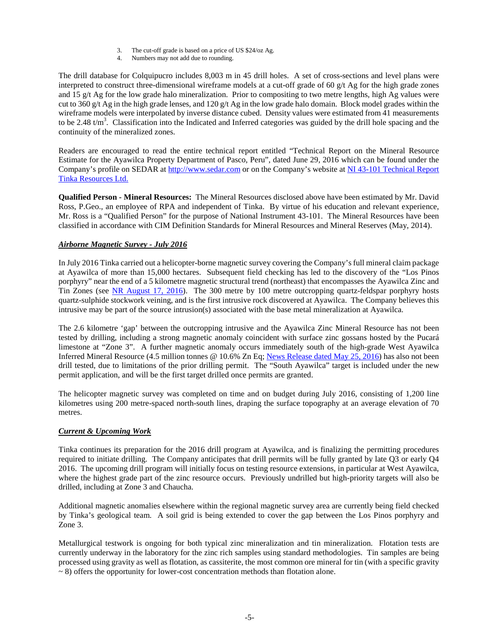- 3. The cut-off grade is based on a price of US \$24/oz Ag.
- 4. Numbers may not add due to rounding.

The drill database for Colquipucro includes 8,003 m in 45 drill holes. A set of cross-sections and level plans were interpreted to construct three-dimensional wireframe models at a cut-off grade of 60 g/t Ag for the high grade zones and 15 g/t Ag for the low grade halo mineralization. Prior to compositing to two metre lengths, high Ag values were cut to 360 g/t Ag in the high grade lenses, and 120 g/t Ag in the low grade halo domain. Block model grades within the wireframe models were interpolated by inverse distance cubed. Density values were estimated from 41 measurements to be 2.48  $t/m<sup>3</sup>$ . Classification into the Indicated and Inferred categories was guided by the drill hole spacing and the continuity of the mineralized zones.

Readers are encouraged to read the entire technical report entitled "Technical Report on the Mineral Resource Estimate for the Ayawilca Property Department of Pasco, Peru", dated June 29, 2016 which can be found under the Company's profile on SEDAR at [http://www.sedar.com](http://www.sedar.com/) or on the Company's website at [NI 43-101 Technical Report](https://www.tinkaresources.com/projects/technical-reports)  [Tinka Resources Ltd.](https://www.tinkaresources.com/projects/technical-reports)

**Qualified Person - Mineral Resources:** The Mineral Resources disclosed above have been estimated by Mr. David Ross, P.Geo., an employee of RPA and independent of Tinka. By virtue of his education and relevant experience, Mr. Ross is a "Qualified Person" for the purpose of National Instrument 43-101. The Mineral Resources have been classified in accordance with CIM Definition Standards for Mineral Resources and Mineral Reserves (May, 2014).

# *Airborne Magnetic Survey - July 2016*

In July 2016 Tinka carried out a helicopter-borne magnetic survey covering the Company's full mineral claim package at Ayawilca of more than 15,000 hectares. Subsequent field checking has led to the discovery of the "Los Pinos porphyry" near the end of a 5 kilometre magnetic structural trend (northeast) that encompasses the Ayawilca Zinc and Tin Zones (see [NR August 17, 2016\)](https://www.tinkaresources.com/news/tinka-announces-airborne-magnetic-survey-results-and-discovery-of-outcropping-porphyry-at-los-pinos). The 300 metre by 100 metre outcropping quartz-feldspar porphyry hosts quartz-sulphide stockwork veining, and is the first intrusive rock discovered at Ayawilca. The Company believes this intrusive may be part of the source intrusion(s) associated with the base metal mineralization at Ayawilca.

The 2.6 kilometre 'gap' between the outcropping intrusive and the Ayawilca Zinc Mineral Resource has not been tested by drilling, including a strong magnetic anomaly coincident with surface zinc gossans hosted by the Pucará limestone at "Zone 3". A further magnetic anomaly occurs immediately south of the high-grade West Ayawilca Inferred Mineral Resource (4.5 million tonnes @ 10.6% Zn Eq; [News Release dated May 25, 2016\)](https://www.tinkaresources.com/news/tinka-increases-inferred-mineral-resources-at-ayawilca-zinc-resource-now-18-8-million-tonnes-at-8-2-zinc-eq-initial-tin-resource-5-4-million-tonnes-at-0-89-tin-eq) has also not been drill tested, due to limitations of the prior drilling permit. The "South Ayawilca" target is included under the new permit application, and will be the first target drilled once permits are granted.

The helicopter magnetic survey was completed on time and on budget during July 2016, consisting of 1,200 line kilometres using 200 metre-spaced north-south lines, draping the surface topography at an average elevation of 70 metres.

## *Current & Upcoming Work*

Tinka continues its preparation for the 2016 drill program at Ayawilca, and is finalizing the permitting procedures required to initiate drilling. The Company anticipates that drill permits will be fully granted by late Q3 or early Q4 2016. The upcoming drill program will initially focus on testing resource extensions, in particular at West Ayawilca, where the highest grade part of the zinc resource occurs. Previously undrilled but high-priority targets will also be drilled, including at Zone 3 and Chaucha.

Additional magnetic anomalies elsewhere within the regional magnetic survey area are currently being field checked by Tinka's geological team. A soil grid is being extended to cover the gap between the Los Pinos porphyry and Zone 3.

Metallurgical testwork is ongoing for both typical zinc mineralization and tin mineralization. Flotation tests are currently underway in the laboratory for the zinc rich samples using standard methodologies. Tin samples are being processed using gravity as well as flotation, as cassiterite, the most common ore mineral for tin (with a specific gravity  $\sim$  8) offers the opportunity for lower-cost concentration methods than flotation alone.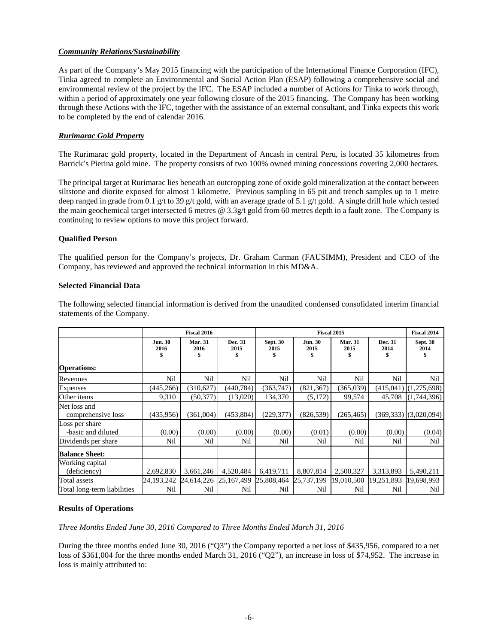# *Community Relations/Sustainability*

As part of the Company's May 2015 financing with the participation of the International Finance Corporation (IFC), Tinka agreed to complete an Environmental and Social Action Plan (ESAP) following a comprehensive social and environmental review of the project by the IFC. The ESAP included a number of Actions for Tinka to work through, within a period of approximately one year following closure of the 2015 financing. The Company has been working through these Actions with the IFC, together with the assistance of an external consultant, and Tinka expects this work to be completed by the end of calendar 2016.

# *Rurimarac Gold Property*

The Rurimarac gold property, located in the Department of Ancash in central Peru, is located 35 kilometres from Barrick's Pierina gold mine. The property consists of two 100% owned mining concessions covering 2,000 hectares.

The principal target at Rurimarac lies beneath an outcropping zone of oxide gold mineralization at the contact between siltstone and diorite exposed for almost 1 kilometre. Previous sampling in 65 pit and trench samples up to 1 metre deep ranged in grade from 0.1 g/t to 39 g/t gold, with an average grade of 5.1 g/t gold. A single drill hole which tested the main geochemical target intersected 6 metres @ 3.3g/t gold from 60 metres depth in a fault zone. The Company is continuing to review options to move this project forward.

# **Qualified Person**

The qualified person for the Company's projects, Dr. Graham Carman (FAUSIMM), President and CEO of the Company, has reviewed and approved the technical information in this MD&A.

## **Selected Financial Data**

|                                      |                        | Fiscal 2016                 |                 |                               | Fiscal 2015                 |                        |                 |                           |
|--------------------------------------|------------------------|-----------------------------|-----------------|-------------------------------|-----------------------------|------------------------|-----------------|---------------------------|
|                                      | <b>Jun. 30</b><br>2016 | <b>Mar. 31</b><br>2016<br>S | Dec. 31<br>2015 | <b>Sept. 30</b><br>2015<br>\$ | <b>Jun. 30</b><br>2015<br>S | <b>Mar. 31</b><br>2015 | Dec. 31<br>2014 | <b>Sept. 30</b><br>2014   |
| <b>Operations:</b>                   |                        |                             |                 |                               |                             |                        |                 |                           |
| Revenues                             | Nil                    | Nil                         | Nil             | Nil                           | Nil                         | Nil                    | Nil             | Nil                       |
| <b>Expenses</b>                      | (445, 266)             | (310,627)                   | (440, 784)      | (363, 747)                    | (821, 367)                  | (365,039)              | (415,041        | (1,275,698)               |
| Other items                          | 9,310                  | (50, 377)                   | (13,020)        | 134,370                       | (5,172)                     | 99,574                 | 45,708          | (1,744,396)               |
| Net loss and<br>comprehensive loss   | (435,956)              | (361,004)                   | (453, 804)      | (229, 377)                    | (826, 539)                  | (265, 465)             |                 | $(369,333)$ $(3,020,094)$ |
| Loss per share<br>-basic and diluted | (0.00)                 | (0.00)                      | (0.00)          | (0.00)                        | (0.01)                      | (0.00)                 | (0.00)          | (0.04)                    |
| Dividends per share                  | Nil                    | Nil                         | Nil             | Nil                           | Nil                         | Nil                    | Nil             | Nil                       |
| <b>Balance Sheet:</b>                |                        |                             |                 |                               |                             |                        |                 |                           |
| Working capital<br>(deficiency)      | 2,692,830              | 3,661,246                   | 4,520,484       | 6,419,711                     | 8,807,814                   | 2,500,327              | 3,313,893       | 5,490,211                 |
| Total assets                         | 24,193,242             | 24,614,226                  | 25,167,499      | 25,808,464                    | 25,737,199                  | 19,010,500             | 19,251,893      | 19,698,993                |
| Total long-term liabilities          | Nil                    | Nil                         | Nil             | Nil                           | Nil                         | Nil                    | Nil             | Nil                       |

The following selected financial information is derived from the unaudited condensed consolidated interim financial statements of the Company.

## **Results of Operations**

*Three Months Ended June 30, 2016 Compared to Three Months Ended March 31, 2016* 

During the three months ended June 30, 2016 ("Q3") the Company reported a net loss of \$435,956, compared to a net loss of \$361,004 for the three months ended March 31, 2016 ("Q2"), an increase in loss of \$74,952. The increase in loss is mainly attributed to: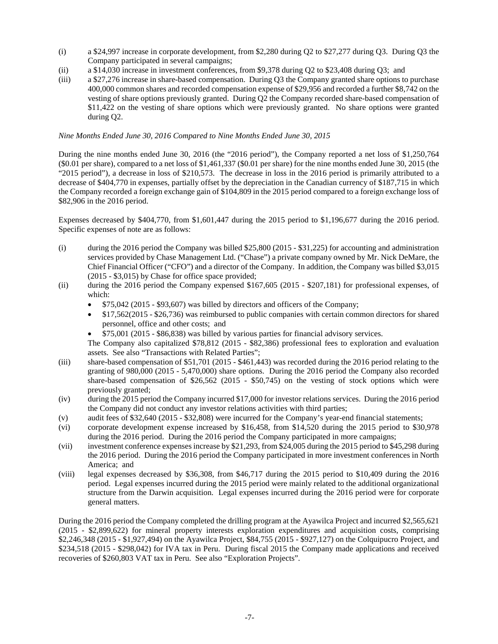- (i) a \$24,997 increase in corporate development, from \$2,280 during Q2 to \$27,277 during Q3. During Q3 the Company participated in several campaigns;
- (ii) a \$14,030 increase in investment conferences, from \$9,378 during Q2 to \$23,408 during Q3; and
- (iii) a \$27,276 increase in share-based compensation. During Q3 the Company granted share options to purchase 400,000 common shares and recorded compensation expense of \$29,956 and recorded a further \$8,742 on the vesting of share options previously granted. During Q2 the Company recorded share-based compensation of \$11,422 on the vesting of share options which were previously granted. No share options were granted during Q2.

## *Nine Months Ended June 30, 2016 Compared to Nine Months Ended June 30, 2015*

During the nine months ended June 30, 2016 (the "2016 period"), the Company reported a net loss of \$1,250,764 (\$0.01 per share), compared to a net loss of \$1,461,337 (\$0.01 per share) for the nine months ended June 30, 2015 (the "2015 period"), a decrease in loss of \$210,573. The decrease in loss in the 2016 period is primarily attributed to a decrease of \$404,770 in expenses, partially offset by the depreciation in the Canadian currency of \$187,715 in which the Company recorded a foreign exchange gain of \$104,809 in the 2015 period compared to a foreign exchange loss of \$82,906 in the 2016 period.

Expenses decreased by \$404,770, from \$1,601,447 during the 2015 period to \$1,196,677 during the 2016 period. Specific expenses of note are as follows:

- (i) during the 2016 period the Company was billed \$25,800 (2015 \$31,225) for accounting and administration services provided by Chase Management Ltd. ("Chase") a private company owned by Mr. Nick DeMare, the Chief Financial Officer ("CFO") and a director of the Company. In addition, the Company was billed \$3,015 (2015 - \$3,015) by Chase for office space provided;
- (ii) during the 2016 period the Company expensed \$167,605 (2015 \$207,181) for professional expenses, of which:
	- \$75,042 (2015 \$93,607) was billed by directors and officers of the Company;
	- \$17,562(2015 \$26,736) was reimbursed to public companies with certain common directors for shared personnel, office and other costs; and
	- \$75,001 (2015 \$86,838) was billed by various parties for financial advisory services.

The Company also capitalized \$78,812 (2015 - \$82,386) professional fees to exploration and evaluation assets. See also "Transactions with Related Parties";

- (iii) share-based compensation of \$51,701 (2015 \$461,443) was recorded during the 2016 period relating to the granting of 980,000 (2015 - 5,470,000) share options. During the 2016 period the Company also recorded share-based compensation of \$26,562 (2015 - \$50,745) on the vesting of stock options which were previously granted;
- (iv) during the 2015 period the Company incurred \$17,000 for investor relations services. During the 2016 period the Company did not conduct any investor relations activities with third parties;
- (v) audit fees of \$32,640 (2015 \$32,808) were incurred for the Company's year-end financial statements;
- (vi) corporate development expense increased by \$16,458, from \$14,520 during the 2015 period to \$30,978 during the 2016 period. During the 2016 period the Company participated in more campaigns;
- (vii) investment conference expenses increase by \$21,293, from \$24,005 during the 2015 period to \$45,298 during the 2016 period. During the 2016 period the Company participated in more investment conferences in North America; and
- (viii) legal expenses decreased by \$36,308, from \$46,717 during the 2015 period to \$10,409 during the 2016 period. Legal expenses incurred during the 2015 period were mainly related to the additional organizational structure from the Darwin acquisition. Legal expenses incurred during the 2016 period were for corporate general matters.

During the 2016 period the Company completed the drilling program at the Ayawilca Project and incurred \$2,565,621 (2015 - \$2,899,622) for mineral property interests exploration expenditures and acquisition costs, comprising \$2,246,348 (2015 - \$1,927,494) on the Ayawilca Project, \$84,755 (2015 - \$927,127) on the Colquipucro Project, and \$234,518 (2015 - \$298,042) for IVA tax in Peru. During fiscal 2015 the Company made applications and received recoveries of \$260,803 VAT tax in Peru. See also "Exploration Projects".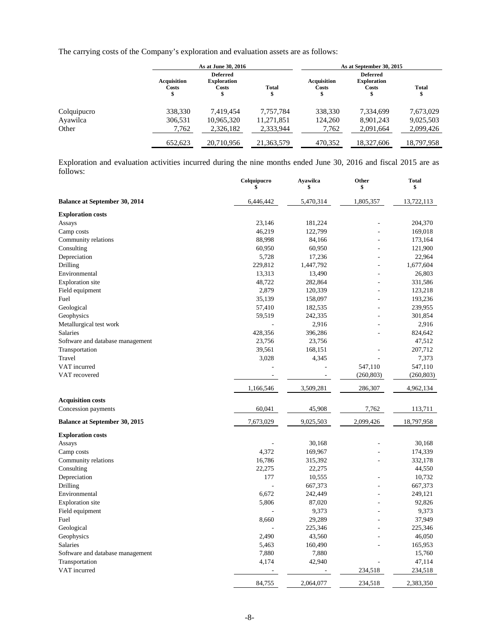The carrying costs of the Company's exploration and evaluation assets are as follows:

|             |                                   | As at June 30, 2016                            |            | As at September 30, 2015 |                                                |                    |  |
|-------------|-----------------------------------|------------------------------------------------|------------|--------------------------|------------------------------------------------|--------------------|--|
|             | <b>Acquisition</b><br>Costs<br>\$ | <b>Deferred</b><br><b>Exploration</b><br>Costs | Total      | Acquisition<br>Costs     | <b>Deferred</b><br><b>Exploration</b><br>Costs | <b>Total</b><br>\$ |  |
| Colquipucro | 338,330                           | 7.419.454                                      | 7.757.784  | 338,330                  | 7,334,699                                      | 7,673,029          |  |
| Ayawilca    | 306,531                           | 10,965,320                                     | 11.271.851 | 124.260                  | 8.901.243                                      | 9,025,503          |  |
| Other       | 7,762                             | 2,326,182                                      | 2,333,944  | 7,762                    | 2,091,664                                      | 2,099,426          |  |
|             | 652.623                           | 20,710,956                                     | 21,363,579 | 470.352                  | 18,327,606                                     | 18,797,958         |  |

Exploration and evaluation activities incurred during the nine months ended June 30, 2016 and fiscal 2015 are as follows:

|                                      | Colquipucro<br>\$ | <b>Ayawilca</b><br>\$ | Other<br>\$ | <b>Total</b><br>\$ |
|--------------------------------------|-------------------|-----------------------|-------------|--------------------|
| <b>Balance at September 30, 2014</b> | 6,446,442         | 5,470,314             | 1,805,357   | 13,722,113         |
| <b>Exploration costs</b>             |                   |                       |             |                    |
| Assays                               | 23,146            | 181,224               |             | 204,370            |
| Camp costs                           | 46,219            | 122,799               |             | 169,018            |
| Community relations                  | 88,998            | 84,166                |             | 173,164            |
| Consulting                           | 60,950            | 60,950                | L,          | 121,900            |
| Depreciation                         | 5,728             | 17,236                |             | 22,964             |
| Drilling                             | 229,812           | 1,447,792             |             | 1,677,604          |
| Environmental                        | 13,313            | 13,490                |             | 26,803             |
| <b>Exploration</b> site              | 48,722            | 282,864               |             | 331,586            |
| Field equipment                      | 2,879             | 120,339               |             | 123,218            |
| Fuel                                 | 35,139            | 158,097               | L.          | 193,236            |
| Geological                           | 57,410            | 182,535               | J.          | 239,955            |
| Geophysics                           | 59,519            | 242,335               | ÷,          | 301,854            |
| Metallurgical test work              |                   | 2,916                 |             | 2,916              |
| Salaries                             | 428,356           | 396,286               |             | 824,642            |
| Software and database management     | 23,756            | 23,756                |             | 47,512             |
| Transportation                       | 39,561            | 168,151               |             | 207,712            |
| Travel                               | 3,028             | 4,345                 |             | 7,373              |
| VAT incurred                         |                   |                       | 547,110     | 547,110            |
| VAT recovered                        |                   |                       | (260, 803)  | (260, 803)         |
|                                      | 1,166,546         | 3,509,281             | 286,307     | 4,962,134          |
|                                      |                   |                       |             |                    |
| <b>Acquisition costs</b>             |                   |                       |             |                    |
| Concession payments                  | 60,041            | 45,908                | 7,762       | 113,711            |
| <b>Balance at September 30, 2015</b> | 7,673,029         | 9,025,503             | 2,099,426   | 18,797,958         |
| <b>Exploration costs</b>             |                   |                       |             |                    |
| Assays                               |                   | 30,168                |             | 30,168             |
| Camp costs                           | 4,372             | 169,967               |             | 174,339            |
| Community relations                  | 16,786            | 315,392               |             | 332,178            |
| Consulting                           | 22,275            | 22,275                |             | 44,550             |
| Depreciation                         | 177               | 10,555                |             | 10,732             |
| Drilling                             |                   | 667,373               |             | 667,373            |
| Environmental                        | 6,672             | 242,449               |             | 249,121            |
| <b>Exploration</b> site              | 5,806             | 87,020                |             | 92,826             |
| Field equipment                      |                   | 9,373                 |             | 9,373              |
| Fuel                                 | 8,660             | 29,289                | J.          | 37,949             |
| Geological                           |                   | 225,346               |             | 225,346            |
| Geophysics                           | 2,490             | 43,560                |             | 46,050             |
| Salaries                             | 5,463             | 160,490               |             | 165,953            |
| Software and database management     | 7,880             | 7,880                 |             | 15,760             |
| Transportation                       | 4,174             | 42,940                |             | 47,114             |
| VAT incurred                         |                   |                       | 234,518     | 234,518            |
|                                      | 84,755            | 2,064,077             | 234,518     | 2,383,350          |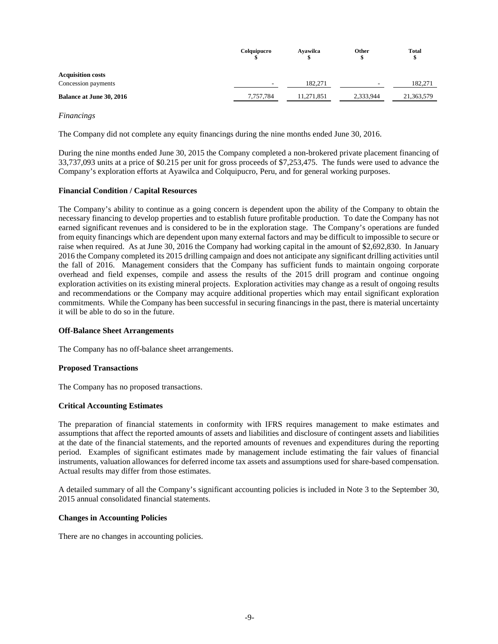|                                                 | Colquipucro | Avawilca   | Other<br>\$ | <b>Total</b> |
|-------------------------------------------------|-------------|------------|-------------|--------------|
| <b>Acquisition costs</b><br>Concession payments | -           | 182.271    |             | 182,271      |
| <b>Balance at June 30, 2016</b>                 | 7,757,784   | 11,271,851 | 2,333,944   | 21,363,579   |

*Financings*

The Company did not complete any equity financings during the nine months ended June 30, 2016.

During the nine months ended June 30, 2015 the Company completed a non-brokered private placement financing of 33,737,093 units at a price of \$0.215 per unit for gross proceeds of \$7,253,475. The funds were used to advance the Company's exploration efforts at Ayawilca and Colquipucro, Peru, and for general working purposes.

## **Financial Condition / Capital Resources**

The Company's ability to continue as a going concern is dependent upon the ability of the Company to obtain the necessary financing to develop properties and to establish future profitable production. To date the Company has not earned significant revenues and is considered to be in the exploration stage. The Company's operations are funded from equity financings which are dependent upon many external factors and may be difficult to impossible to secure or raise when required. As at June 30, 2016 the Company had working capital in the amount of \$2,692,830. In January 2016 the Company completed its 2015 drilling campaign and does not anticipate any significant drilling activities until the fall of 2016. Management considers that the Company has sufficient funds to maintain ongoing corporate overhead and field expenses, compile and assess the results of the 2015 drill program and continue ongoing exploration activities on its existing mineral projects. Exploration activities may change as a result of ongoing results and recommendations or the Company may acquire additional properties which may entail significant exploration commitments. While the Company has been successful in securing financings in the past, there is material uncertainty it will be able to do so in the future.

## **Off-Balance Sheet Arrangements**

The Company has no off-balance sheet arrangements.

## **Proposed Transactions**

The Company has no proposed transactions.

## **Critical Accounting Estimates**

The preparation of financial statements in conformity with IFRS requires management to make estimates and assumptions that affect the reported amounts of assets and liabilities and disclosure of contingent assets and liabilities at the date of the financial statements, and the reported amounts of revenues and expenditures during the reporting period. Examples of significant estimates made by management include estimating the fair values of financial instruments, valuation allowances for deferred income tax assets and assumptions used for share-based compensation. Actual results may differ from those estimates.

A detailed summary of all the Company's significant accounting policies is included in Note 3 to the September 30, 2015 annual consolidated financial statements.

## **Changes in Accounting Policies**

There are no changes in accounting policies.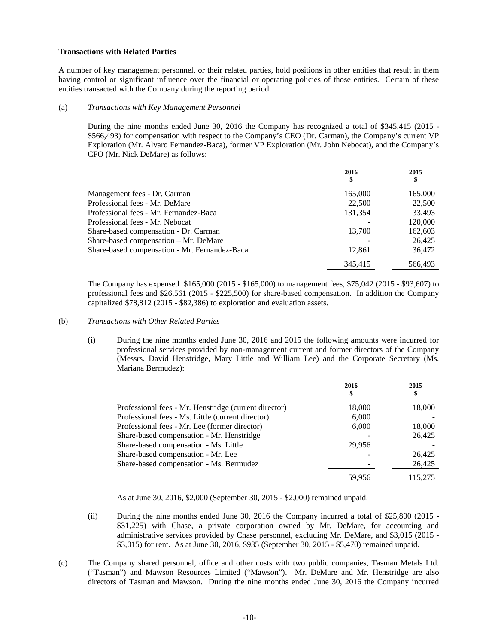## **Transactions with Related Parties**

A number of key management personnel, or their related parties, hold positions in other entities that result in them having control or significant influence over the financial or operating policies of those entities. Certain of these entities transacted with the Company during the reporting period.

## (a) *Transactions with Key Management Personnel*

During the nine months ended June 30, 2016 the Company has recognized a total of \$345,415 (2015 - \$566,493) for compensation with respect to the Company's CEO (Dr. Carman), the Company's current VP Exploration (Mr. Alvaro Fernandez-Baca), former VP Exploration (Mr. John Nebocat), and the Company's CFO (Mr. Nick DeMare) as follows:

|                                               | 2016<br>\$ | 2015<br>\$ |
|-----------------------------------------------|------------|------------|
| Management fees - Dr. Carman                  | 165,000    | 165,000    |
| Professional fees - Mr. DeMare                | 22,500     | 22,500     |
| Professional fees - Mr. Fernandez-Baca        | 131.354    | 33,493     |
| Professional fees - Mr. Nebocat               |            | 120,000    |
| Share-based compensation - Dr. Carman         | 13.700     | 162,603    |
| Share-based compensation - Mr. DeMare         |            | 26.425     |
| Share-based compensation - Mr. Fernandez-Baca | 12,861     | 36,472     |
|                                               | 345.415    | 566,493    |

The Company has expensed \$165,000 (2015 - \$165,000) to management fees, \$75,042 (2015 - \$93,607) to professional fees and \$26,561 (2015 - \$225,500) for share-based compensation. In addition the Company capitalized \$78,812 (2015 - \$82,386) to exploration and evaluation assets.

#### (b) *Transactions with Other Related Parties*

(i) During the nine months ended June 30, 2016 and 2015 the following amounts were incurred for professional services provided by non-management current and former directors of the Company (Messrs. David Henstridge, Mary Little and William Lee) and the Corporate Secretary (Ms. Mariana Bermudez):

|                                                       | 2016<br>\$ | 2015<br>\$ |
|-------------------------------------------------------|------------|------------|
| Professional fees - Mr. Henstridge (current director) | 18,000     | 18,000     |
| Professional fees - Ms. Little (current director)     | 6,000      |            |
| Professional fees - Mr. Lee (former director)         | 6,000      | 18,000     |
| Share-based compensation - Mr. Henstridge             |            | 26,425     |
| Share-based compensation - Ms. Little                 | 29.956     |            |
| Share-based compensation - Mr. Lee                    |            | 26,425     |
| Share-based compensation - Ms. Bermudez               |            | 26,425     |
|                                                       | 59,956     | 115.275    |

As at June 30, 2016, \$2,000 (September 30, 2015 - \$2,000) remained unpaid.

- (ii) During the nine months ended June 30, 2016 the Company incurred a total of \$25,800 (2015 \$31,225) with Chase, a private corporation owned by Mr. DeMare, for accounting and administrative services provided by Chase personnel, excluding Mr. DeMare, and \$3,015 (2015 - \$3,015) for rent. As at June 30, 2016, \$935 (September 30, 2015 - \$5,470) remained unpaid.
- (c) The Company shared personnel, office and other costs with two public companies, Tasman Metals Ltd. ("Tasman") and Mawson Resources Limited ("Mawson"). Mr. DeMare and Mr. Henstridge are also directors of Tasman and Mawson. During the nine months ended June 30, 2016 the Company incurred